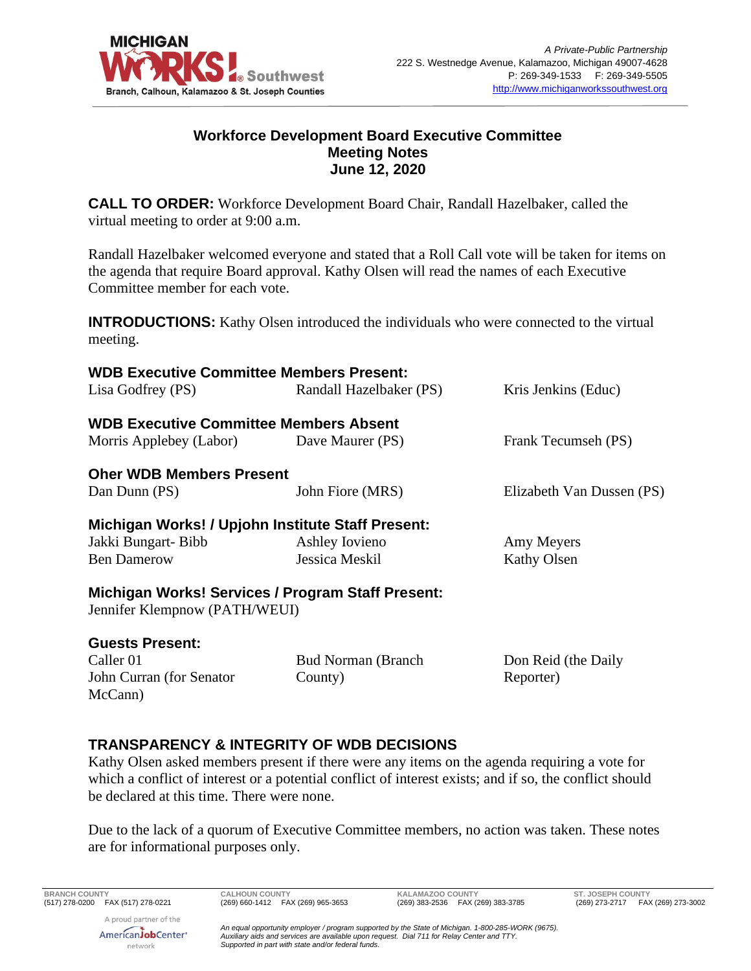

## **Workforce Development Board Executive Committee Meeting Notes June 12, 2020**

**CALL TO ORDER:** Workforce Development Board Chair, Randall Hazelbaker, called the virtual meeting to order at 9:00 a.m.

Randall Hazelbaker welcomed everyone and stated that a Roll Call vote will be taken for items on the agenda that require Board approval. Kathy Olsen will read the names of each Executive Committee member for each vote.

**INTRODUCTIONS:** Kathy Olsen introduced the individuals who were connected to the virtual meeting.

| <b>WDB Executive Committee Members Present:</b>   |                                                          |                           |
|---------------------------------------------------|----------------------------------------------------------|---------------------------|
| Lisa Godfrey (PS)                                 | Randall Hazelbaker (PS)                                  | Kris Jenkins (Educ)       |
| <b>WDB Executive Committee Members Absent</b>     |                                                          |                           |
| Morris Applebey (Labor) Dave Maurer (PS)          |                                                          | Frank Tecumseh (PS)       |
| <b>Oher WDB Members Present</b>                   |                                                          |                           |
| Dan Dunn (PS)                                     | John Fiore (MRS)                                         | Elizabeth Van Dussen (PS) |
| Michigan Works! / Upjohn Institute Staff Present: |                                                          |                           |
| Jakki Bungart-Bibb                                | Ashley Iovieno                                           | Amy Meyers                |
| <b>Ben Damerow</b>                                | Jessica Meskil                                           | Kathy Olsen               |
| Jennifer Klempnow (PATH/WEUI)                     | <b>Michigan Works! Services / Program Staff Present:</b> |                           |
| <b>Guests Present:</b>                            |                                                          |                           |
| Caller 01                                         | <b>Bud Norman (Branch)</b>                               | Don Reid (the Daily       |
| John Curran (for Senator                          | County)                                                  | Reporter)                 |
| McCann)                                           |                                                          |                           |

# **TRANSPARENCY & INTEGRITY OF WDB DECISIONS**

Kathy Olsen asked members present if there were any items on the agenda requiring a vote for which a conflict of interest or a potential conflict of interest exists; and if so, the conflict should be declared at this time. There were none.

Due to the lack of a quorum of Executive Committee members, no action was taken. These notes are for informational purposes only.

A proud partner of the AmericanJobCenter<sup>®</sup> network

**BRANCH COUNTY CALHOUN COUNTY KALAMAZOO COUNTY ST. JOSEPH COUNTY**

*An equal opportunity employer / program supported by the State of Michigan. 1-800-285-WORK (9675). Auxiliary aids and services are available upon request. Dial 711 for Relay Center and TTY. Supported in part with state and/or federal funds.*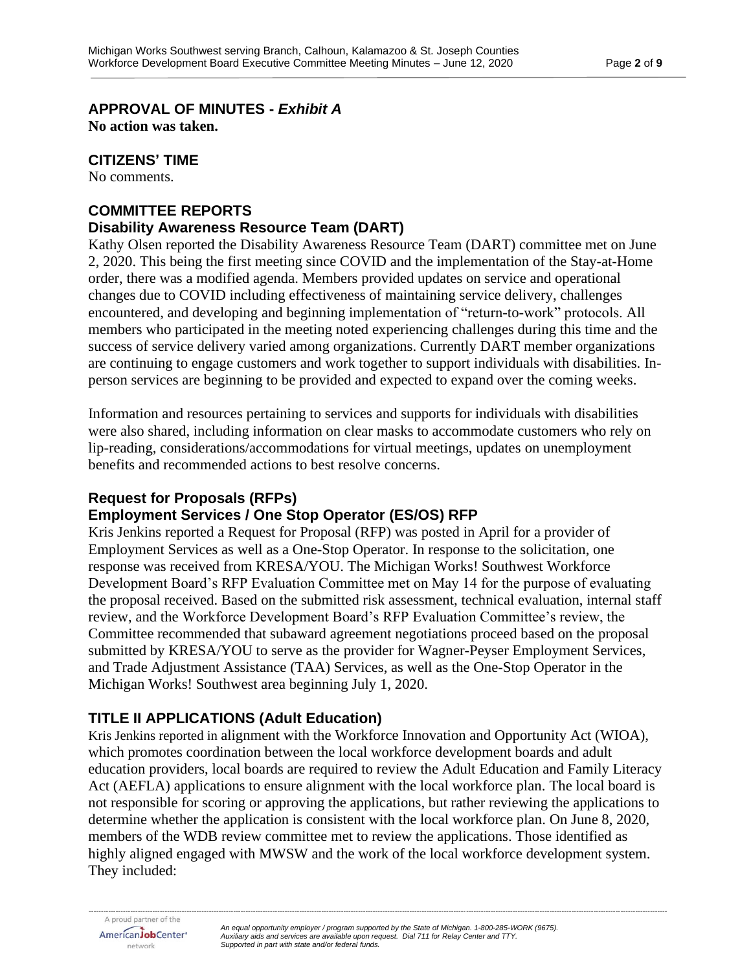**APPROVAL OF MINUTES -** *Exhibit A*

**No action was taken.**

### **CITIZENS' TIME**

No comments.

# **COMMITTEE REPORTS**

### **Disability Awareness Resource Team (DART)**

Kathy Olsen reported the Disability Awareness Resource Team (DART) committee met on June 2, 2020. This being the first meeting since COVID and the implementation of the Stay-at-Home order, there was a modified agenda. Members provided updates on service and operational changes due to COVID including effectiveness of maintaining service delivery, challenges encountered, and developing and beginning implementation of "return-to-work" protocols. All members who participated in the meeting noted experiencing challenges during this time and the success of service delivery varied among organizations. Currently DART member organizations are continuing to engage customers and work together to support individuals with disabilities. Inperson services are beginning to be provided and expected to expand over the coming weeks.

Information and resources pertaining to services and supports for individuals with disabilities were also shared, including information on clear masks to accommodate customers who rely on lip-reading, considerations/accommodations for virtual meetings, updates on unemployment benefits and recommended actions to best resolve concerns.

# **Request for Proposals (RFPs)**

# **Employment Services / One Stop Operator (ES/OS) RFP**

Kris Jenkins reported a Request for Proposal (RFP) was posted in April for a provider of Employment Services as well as a One-Stop Operator. In response to the solicitation, one response was received from KRESA/YOU. The Michigan Works! Southwest Workforce Development Board's RFP Evaluation Committee met on May 14 for the purpose of evaluating the proposal received. Based on the submitted risk assessment, technical evaluation, internal staff review, and the Workforce Development Board's RFP Evaluation Committee's review, the Committee recommended that subaward agreement negotiations proceed based on the proposal submitted by KRESA/YOU to serve as the provider for Wagner-Peyser Employment Services, and Trade Adjustment Assistance (TAA) Services, as well as the One-Stop Operator in the Michigan Works! Southwest area beginning July 1, 2020.

# **TITLE II APPLICATIONS (Adult Education)**

Kris Jenkins reported in alignment with the Workforce Innovation and Opportunity Act (WIOA), which promotes coordination between the local workforce development boards and adult education providers, local boards are required to review the Adult Education and Family Literacy Act (AEFLA) applications to ensure alignment with the local workforce plan. The local board is not responsible for scoring or approving the applications, but rather reviewing the applications to determine whether the application is consistent with the local workforce plan. On June 8, 2020, members of the WDB review committee met to review the applications. Those identified as highly aligned engaged with MWSW and the work of the local workforce development system. They included: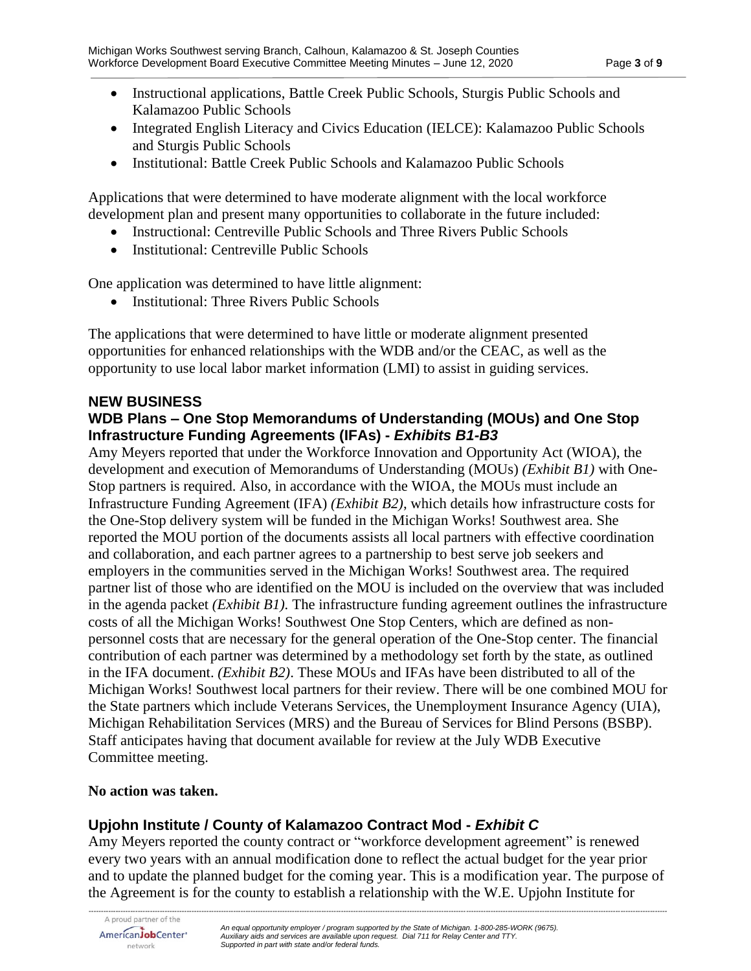- Instructional applications, Battle Creek Public Schools, Sturgis Public Schools and Kalamazoo Public Schools
- Integrated English Literacy and Civics Education (IELCE): Kalamazoo Public Schools and Sturgis Public Schools
- Institutional: Battle Creek Public Schools and Kalamazoo Public Schools

Applications that were determined to have moderate alignment with the local workforce development plan and present many opportunities to collaborate in the future included:

- Instructional: Centreville Public Schools and Three Rivers Public Schools
- Institutional: Centreville Public Schools

One application was determined to have little alignment:

• Institutional: Three Rivers Public Schools

The applications that were determined to have little or moderate alignment presented opportunities for enhanced relationships with the WDB and/or the CEAC, as well as the opportunity to use local labor market information (LMI) to assist in guiding services.

### **NEW BUSINESS**

## **WDB Plans – One Stop Memorandums of Understanding (MOUs) and One Stop Infrastructure Funding Agreements (IFAs) -** *Exhibits B1-B3*

Amy Meyers reported that under the Workforce Innovation and Opportunity Act (WIOA), the development and execution of Memorandums of Understanding (MOUs) *(Exhibit B1)* with One-Stop partners is required. Also, in accordance with the WIOA, the MOUs must include an Infrastructure Funding Agreement (IFA) *(Exhibit B2)*, which details how infrastructure costs for the One-Stop delivery system will be funded in the Michigan Works! Southwest area. She reported the MOU portion of the documents assists all local partners with effective coordination and collaboration, and each partner agrees to a partnership to best serve job seekers and employers in the communities served in the Michigan Works! Southwest area. The required partner list of those who are identified on the MOU is included on the overview that was included in the agenda packet *(Exhibit B1).* The infrastructure funding agreement outlines the infrastructure costs of all the Michigan Works! Southwest One Stop Centers, which are defined as nonpersonnel costs that are necessary for the general operation of the One-Stop center. The financial contribution of each partner was determined by a methodology set forth by the state, as outlined in the IFA document. *(Exhibit B2)*. These MOUs and IFAs have been distributed to all of the Michigan Works! Southwest local partners for their review. There will be one combined MOU for the State partners which include Veterans Services, the Unemployment Insurance Agency (UIA), Michigan Rehabilitation Services (MRS) and the Bureau of Services for Blind Persons (BSBP). Staff anticipates having that document available for review at the July WDB Executive Committee meeting.

### **No action was taken.**

# **Upjohn Institute / County of Kalamazoo Contract Mod -** *Exhibit C*

Amy Meyers reported the county contract or "workforce development agreement" is renewed every two years with an annual modification done to reflect the actual budget for the year prior and to update the planned budget for the coming year. This is a modification year. The purpose of the Agreement is for the county to establish a relationship with the W.E. Upjohn Institute for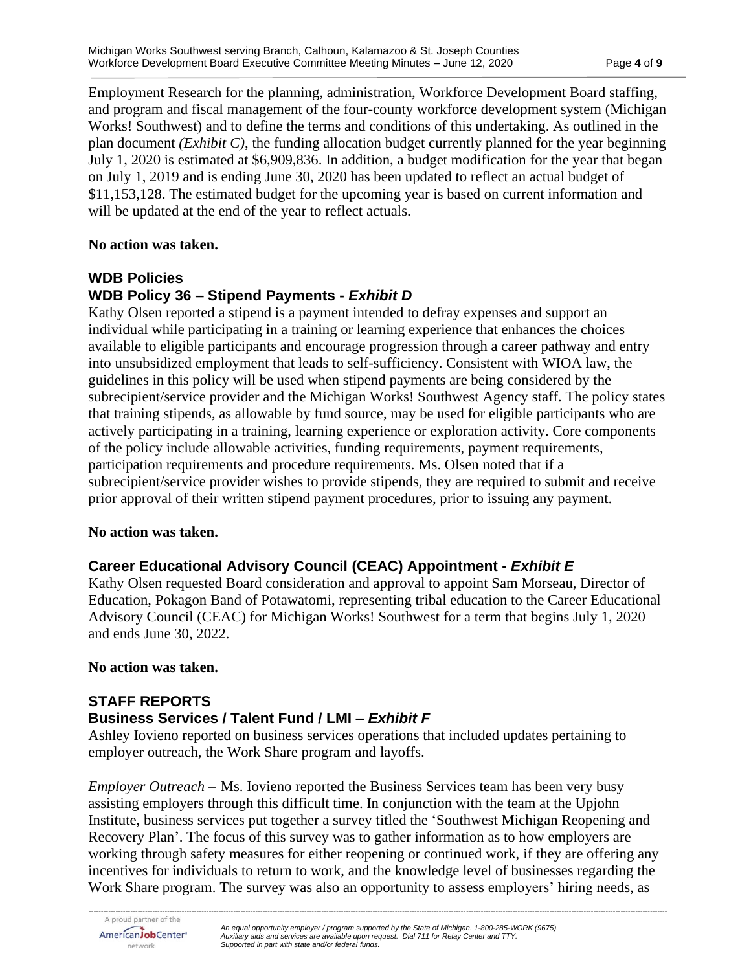Employment Research for the planning, administration, Workforce Development Board staffing, and program and fiscal management of the four-county workforce development system (Michigan Works! Southwest) and to define the terms and conditions of this undertaking. As outlined in the plan document *(Exhibit C)*, the funding allocation budget currently planned for the year beginning July 1, 2020 is estimated at \$6,909,836. In addition, a budget modification for the year that began on July 1, 2019 and is ending June 30, 2020 has been updated to reflect an actual budget of \$11,153,128. The estimated budget for the upcoming year is based on current information and will be updated at the end of the year to reflect actuals.

### **No action was taken.**

## **WDB Policies WDB Policy 36 – Stipend Payments -** *Exhibit D*

Kathy Olsen reported a stipend is a payment intended to defray expenses and support an individual while participating in a training or learning experience that enhances the choices available to eligible participants and encourage progression through a career pathway and entry into unsubsidized employment that leads to self-sufficiency. Consistent with WIOA law, the guidelines in this policy will be used when stipend payments are being considered by the subrecipient/service provider and the Michigan Works! Southwest Agency staff. The policy states that training stipends, as allowable by fund source, may be used for eligible participants who are actively participating in a training, learning experience or exploration activity. Core components of the policy include allowable activities, funding requirements, payment requirements, participation requirements and procedure requirements. Ms. Olsen noted that if a subrecipient/service provider wishes to provide stipends, they are required to submit and receive prior approval of their written stipend payment procedures, prior to issuing any payment.

### **No action was taken.**

# **Career Educational Advisory Council (CEAC) Appointment -** *Exhibit E*

Kathy Olsen requested Board consideration and approval to appoint Sam Morseau, Director of Education, Pokagon Band of Potawatomi, representing tribal education to the Career Educational Advisory Council (CEAC) for Michigan Works! Southwest for a term that begins July 1, 2020 and ends June 30, 2022.

### **No action was taken.**

## **STAFF REPORTS**

# **Business Services / Talent Fund / LMI –** *Exhibit F*

Ashley Iovieno reported on business services operations that included updates pertaining to employer outreach, the Work Share program and layoffs.

*Employer Outreach –* Ms. Iovieno reported the Business Services team has been very busy assisting employers through this difficult time. In conjunction with the team at the Upjohn Institute, business services put together a survey titled the 'Southwest Michigan Reopening and Recovery Plan'. The focus of this survey was to gather information as to how employers are working through safety measures for either reopening or continued work, if they are offering any incentives for individuals to return to work, and the knowledge level of businesses regarding the Work Share program. The survey was also an opportunity to assess employers' hiring needs, as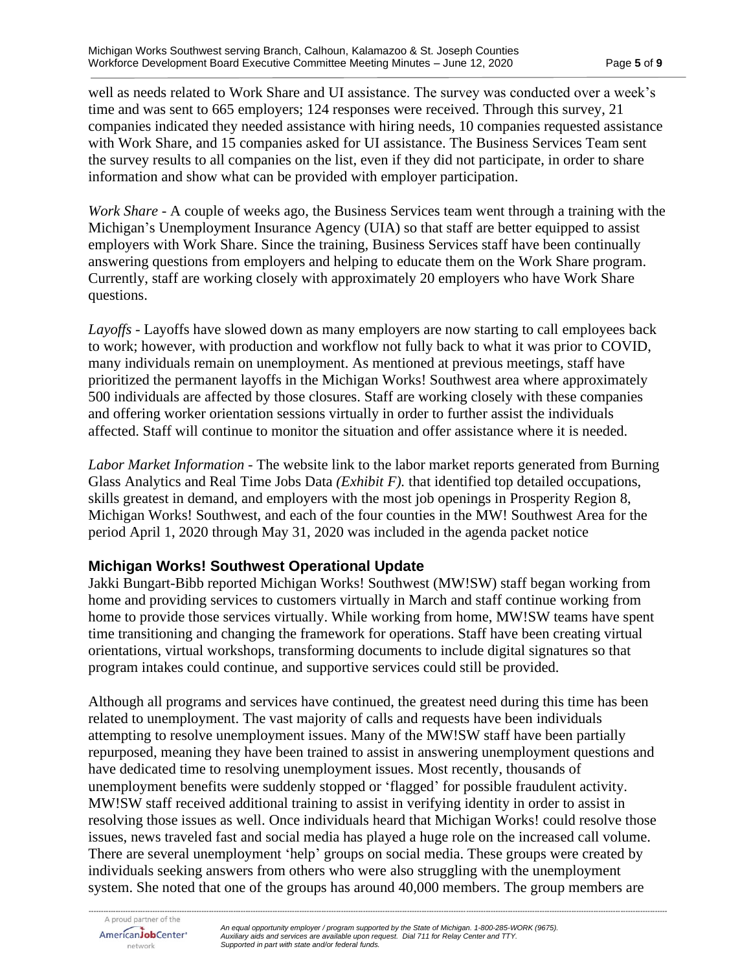well as needs related to Work Share and UI assistance. The survey was conducted over a week's time and was sent to 665 employers; 124 responses were received. Through this survey, 21 companies indicated they needed assistance with hiring needs, 10 companies requested assistance with Work Share, and 15 companies asked for UI assistance. The Business Services Team sent the survey results to all companies on the list, even if they did not participate, in order to share information and show what can be provided with employer participation.

*Work Share* - A couple of weeks ago, the Business Services team went through a training with the Michigan's Unemployment Insurance Agency (UIA) so that staff are better equipped to assist employers with Work Share. Since the training, Business Services staff have been continually answering questions from employers and helping to educate them on the Work Share program. Currently, staff are working closely with approximately 20 employers who have Work Share questions.

*Layoffs -* Layoffs have slowed down as many employers are now starting to call employees back to work; however, with production and workflow not fully back to what it was prior to COVID, many individuals remain on unemployment. As mentioned at previous meetings, staff have prioritized the permanent layoffs in the Michigan Works! Southwest area where approximately 500 individuals are affected by those closures. Staff are working closely with these companies and offering worker orientation sessions virtually in order to further assist the individuals affected. Staff will continue to monitor the situation and offer assistance where it is needed.

*Labor Market Information* - The website link to the labor market reports generated from Burning Glass Analytics and Real Time Jobs Data *(Exhibit F).* that identified top detailed occupations, skills greatest in demand, and employers with the most job openings in Prosperity Region 8, Michigan Works! Southwest, and each of the four counties in the MW! Southwest Area for the period April 1, 2020 through May 31, 2020 was included in the agenda packet notice

## **Michigan Works! Southwest Operational Update**

Jakki Bungart-Bibb reported Michigan Works! Southwest (MW!SW) staff began working from home and providing services to customers virtually in March and staff continue working from home to provide those services virtually. While working from home, MW!SW teams have spent time transitioning and changing the framework for operations. Staff have been creating virtual orientations, virtual workshops, transforming documents to include digital signatures so that program intakes could continue, and supportive services could still be provided.

Although all programs and services have continued, the greatest need during this time has been related to unemployment. The vast majority of calls and requests have been individuals attempting to resolve unemployment issues. Many of the MW!SW staff have been partially repurposed, meaning they have been trained to assist in answering unemployment questions and have dedicated time to resolving unemployment issues. Most recently, thousands of unemployment benefits were suddenly stopped or 'flagged' for possible fraudulent activity. MW!SW staff received additional training to assist in verifying identity in order to assist in resolving those issues as well. Once individuals heard that Michigan Works! could resolve those issues, news traveled fast and social media has played a huge role on the increased call volume. There are several unemployment 'help' groups on social media. These groups were created by individuals seeking answers from others who were also struggling with the unemployment system. She noted that one of the groups has around 40,000 members. The group members are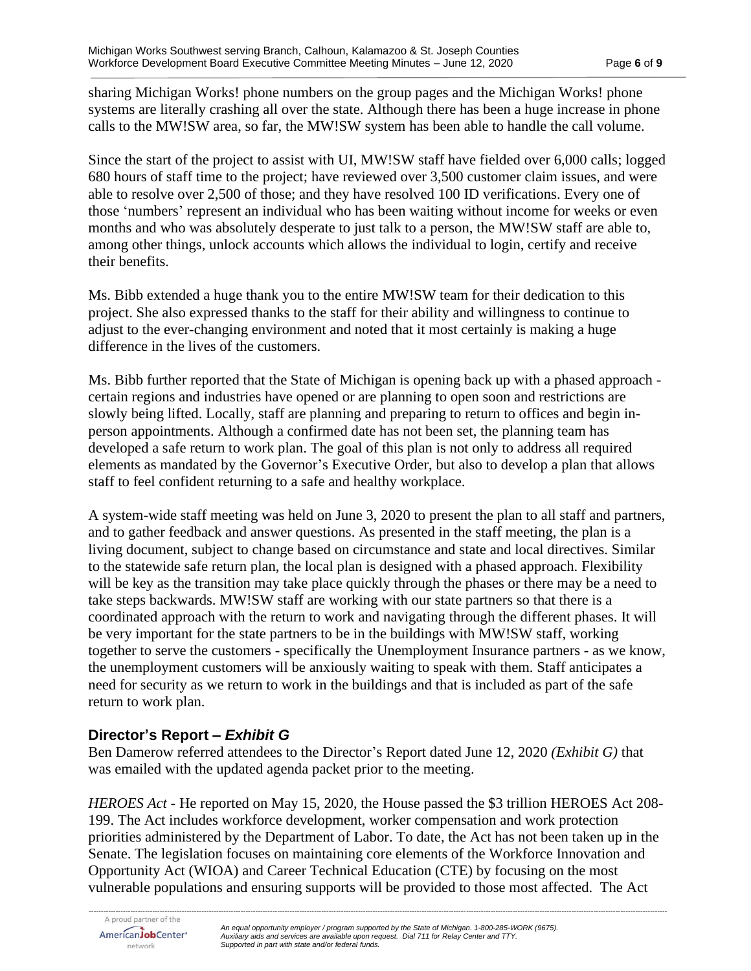sharing Michigan Works! phone numbers on the group pages and the Michigan Works! phone systems are literally crashing all over the state. Although there has been a huge increase in phone calls to the MW!SW area, so far, the MW!SW system has been able to handle the call volume.

Since the start of the project to assist with UI, MW!SW staff have fielded over 6,000 calls; logged 680 hours of staff time to the project; have reviewed over 3,500 customer claim issues, and were able to resolve over 2,500 of those; and they have resolved 100 ID verifications. Every one of those 'numbers' represent an individual who has been waiting without income for weeks or even months and who was absolutely desperate to just talk to a person, the MW!SW staff are able to, among other things, unlock accounts which allows the individual to login, certify and receive their benefits.

Ms. Bibb extended a huge thank you to the entire MW!SW team for their dedication to this project. She also expressed thanks to the staff for their ability and willingness to continue to adjust to the ever-changing environment and noted that it most certainly is making a huge difference in the lives of the customers.

Ms. Bibb further reported that the State of Michigan is opening back up with a phased approach certain regions and industries have opened or are planning to open soon and restrictions are slowly being lifted. Locally, staff are planning and preparing to return to offices and begin inperson appointments. Although a confirmed date has not been set, the planning team has developed a safe return to work plan. The goal of this plan is not only to address all required elements as mandated by the Governor's Executive Order, but also to develop a plan that allows staff to feel confident returning to a safe and healthy workplace.

A system-wide staff meeting was held on June 3, 2020 to present the plan to all staff and partners, and to gather feedback and answer questions. As presented in the staff meeting, the plan is a living document, subject to change based on circumstance and state and local directives. Similar to the statewide safe return plan, the local plan is designed with a phased approach. Flexibility will be key as the transition may take place quickly through the phases or there may be a need to take steps backwards. MW!SW staff are working with our state partners so that there is a coordinated approach with the return to work and navigating through the different phases. It will be very important for the state partners to be in the buildings with MW!SW staff, working together to serve the customers - specifically the Unemployment Insurance partners - as we know, the unemployment customers will be anxiously waiting to speak with them. Staff anticipates a need for security as we return to work in the buildings and that is included as part of the safe return to work plan.

# **Director's Report –** *Exhibit G*

Ben Damerow referred attendees to the Director's Report dated June 12, 2020 *(Exhibit G)* that was emailed with the updated agenda packet prior to the meeting.

*HEROES Act* - He reported on May 15, 2020, the House passed the \$3 trillion HEROES Act 208- 199. The Act includes workforce development, worker compensation and work protection priorities administered by the Department of Labor. To date, the Act has not been taken up in the Senate. The legislation focuses on maintaining core elements of the Workforce Innovation and Opportunity Act (WIOA) and Career Technical Education (CTE) by focusing on the most vulnerable populations and ensuring supports will be provided to those most affected. The Act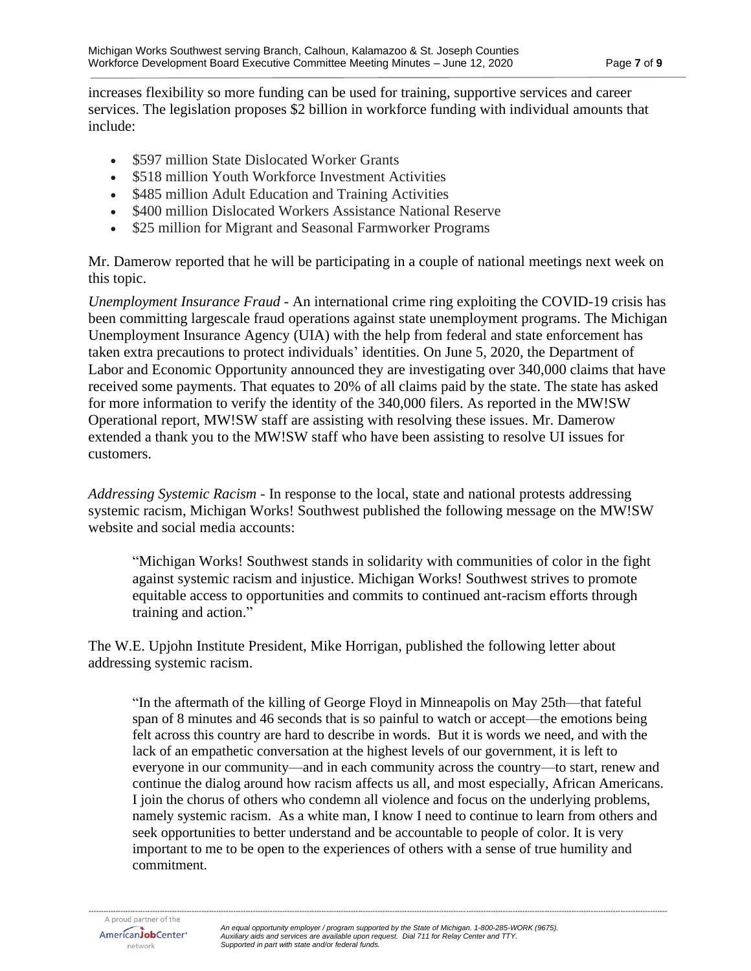increases flexibility so more funding can be used for training, supportive services and career services. The legislation proposes \$2 billion in workforce funding with individual amounts that include:

- \$597 million State Dislocated Worker Grants
- \$518 million Youth Workforce Investment Activities
- \$485 million Adult Education and Training Activities
- \$400 million Dislocated Workers Assistance National Reserve
- \$25 million for Migrant and Seasonal Farmworker Programs

Mr. Damerow reported that he will be participating in a couple of national meetings next week on this topic.

*Unemployment Insurance Fraud* - An international crime ring exploiting the COVID-19 crisis has been committing largescale fraud operations against state unemployment programs. The Michigan Unemployment Insurance Agency (UIA) with the help from federal and state enforcement has taken extra precautions to protect individuals' identities. On June 5, 2020, the Department of Labor and Economic Opportunity announced they are investigating over 340,000 claims that have received some payments. That equates to 20% of all claims paid by the state. The state has asked for more information to verify the identity of the 340,000 filers. As reported in the MW!SW Operational report, MW!SW staff are assisting with resolving these issues. Mr. Damerow extended a thank you to the MW!SW staff who have been assisting to resolve UI issues for customers.

*Addressing Systemic Racism* - In response to the local, state and national protests addressing systemic racism, Michigan Works! Southwest published the following message on the MW!SW website and social media accounts:

"Michigan Works! Southwest stands in solidarity with communities of color in the fight against systemic racism and injustice. Michigan Works! Southwest strives to promote equitable access to opportunities and commits to continued ant-racism efforts through training and action."

The W.E. Upjohn Institute President, Mike Horrigan, published the following letter about addressing systemic racism.

"In the aftermath of the killing of George Floyd in Minneapolis on May 25th—that fateful span of 8 minutes and 46 seconds that is so painful to watch or accept—the emotions being felt across this country are hard to describe in words. But it is words we need, and with the lack of an empathetic conversation at the highest levels of our government, it is left to everyone in our community—and in each community across the country—to start, renew and continue the dialog around how racism affects us all, and most especially, African Americans. I join the chorus of others who condemn all violence and focus on the underlying problems, namely systemic racism. As a white man, I know I need to continue to learn from others and seek opportunities to better understand and be accountable to people of color. It is very important to me to be open to the experiences of others with a sense of true humility and commitment.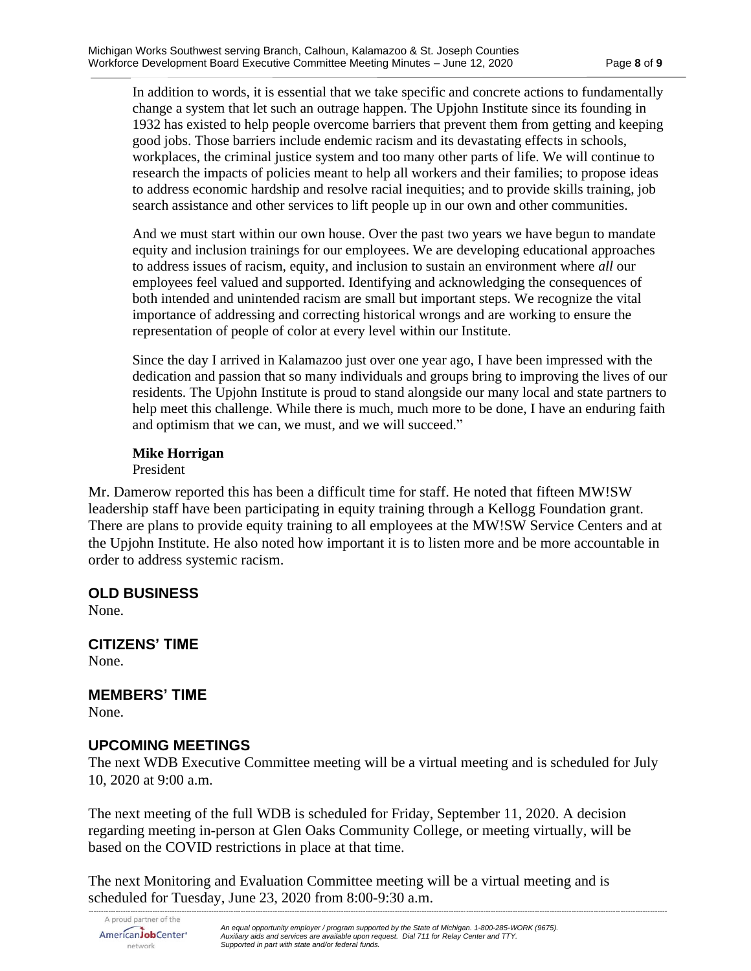In addition to words, it is essential that we take specific and concrete actions to fundamentally change a system that let such an outrage happen. The Upjohn Institute since its founding in 1932 has existed to help people overcome barriers that prevent them from getting and keeping good jobs. Those barriers include endemic racism and its devastating effects in schools, workplaces, the criminal justice system and too many other parts of life. We will continue to research the impacts of policies meant to help all workers and their families; to propose ideas to address economic hardship and resolve racial inequities; and to provide skills training, job search assistance and other services to lift people up in our own and other communities.

And we must start within our own house. Over the past two years we have begun to mandate equity and inclusion trainings for our employees. We are developing educational approaches to address issues of racism, equity, and inclusion to sustain an environment where *all* our employees feel valued and supported. Identifying and acknowledging the consequences of both intended and unintended racism are small but important steps. We recognize the vital importance of addressing and correcting historical wrongs and are working to ensure the representation of people of color at every level within our Institute.

Since the day I arrived in Kalamazoo just over one year ago, I have been impressed with the dedication and passion that so many individuals and groups bring to improving the lives of our residents. The Upjohn Institute is proud to stand alongside our many local and state partners to help meet this challenge. While there is much, much more to be done, I have an enduring faith and optimism that we can, we must, and we will succeed."

# **Mike Horrigan**

President

Mr. Damerow reported this has been a difficult time for staff. He noted that fifteen MW!SW leadership staff have been participating in equity training through a Kellogg Foundation grant. There are plans to provide equity training to all employees at the MW!SW Service Centers and at the Upjohn Institute. He also noted how important it is to listen more and be more accountable in order to address systemic racism.

# **OLD BUSINESS**

None.

**CITIZENS' TIME** None.

**MEMBERS' TIME**

None.

## **UPCOMING MEETINGS**

The next WDB Executive Committee meeting will be a virtual meeting and is scheduled for July 10, 2020 at 9:00 a.m.

The next meeting of the full WDB is scheduled for Friday, September 11, 2020. A decision regarding meeting in-person at Glen Oaks Community College, or meeting virtually, will be based on the COVID restrictions in place at that time.

The next Monitoring and Evaluation Committee meeting will be a virtual meeting and is scheduled for Tuesday, June 23, 2020 from 8:00-9:30 a.m.